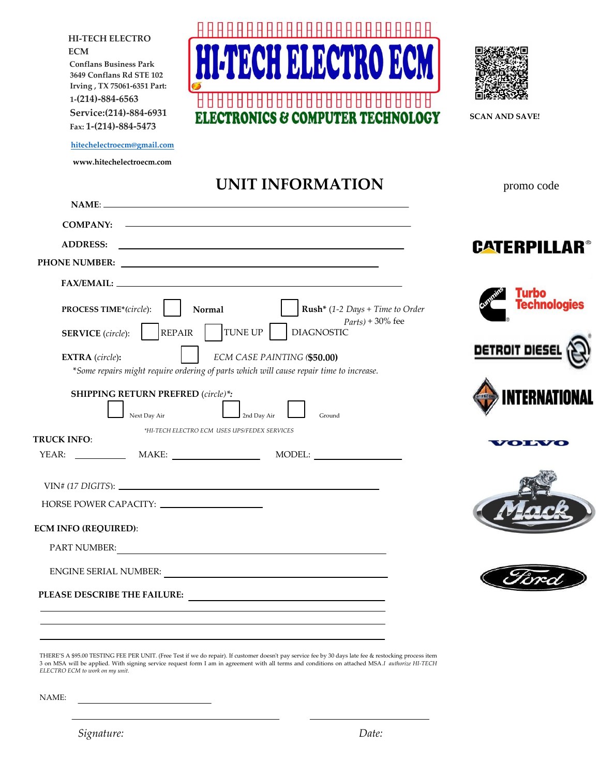888888888888888 **HI-TECH ELECTRO ECM Conflans Business Park 3649 Conflans Rd STE 102 Irving , TX 75061-6351 Part: 1-(214)-884-6563 Service:(214)-884-6931**  CS & COMPUTER TECHNOLOGY **SCAN AND SAVE! Fax: 1-(214)-884-5473 [hitechelectroecm@gmail.com](mailto:hitechelectroecm@gmail.com) www.hitechelectroecm.com UNIT INFORMATION** promo code **NAME**: **COMPANY: ADDRESS: CATERPILLAR® COMPANY: PHONE NUMBER:**  $FAX/EMAIL:$ **Fechnologies Normal Rush\*** (*1-2 Days + Time to Order*  **PROCESS TIME\****(circle*): *Parts*+*)* + 30% fee TUNE UP | DIAGNOSTIC REPAIR **SERVICE** (*circle*): DETROIT DIESE **EXTRA** (*circle*)**:** *ECM CASE PAINTING (***\$50.00)** \**Some repairs might require ordering of parts which will cause repair time to increase.* **SHIPPING RETURN PREFRED** (*circle)\*:* **TERNATIO** Next Day Air 2nd Day Air Ground *\*HI-TECH ELECTRO ECM USES UPS/FEDEX SERVICES* **TRUCK INFO**: YEAR: MAKE: MODEL: VIN# (*17 DIGITS*): HORSE POWER CAPACITY: **ECM INFO (REQUIRED)**: PART NUMBER: ENGINE SERIAL NUMBER: **PLEASE DESCRIBE THE FAILURE:**  THERE'S A \$95.00 TESTING FEE PER UNIT. (Free Test if we do repair). If customer doesn't pay service fee by 30 days late fee & restocking process item 3 on MSA will be applied. With signing service request form I am in agreement with all terms and conditions on attached MSA.*I authorize HI-TECH ELECTRO ECM to work on my unit.* 

NAME: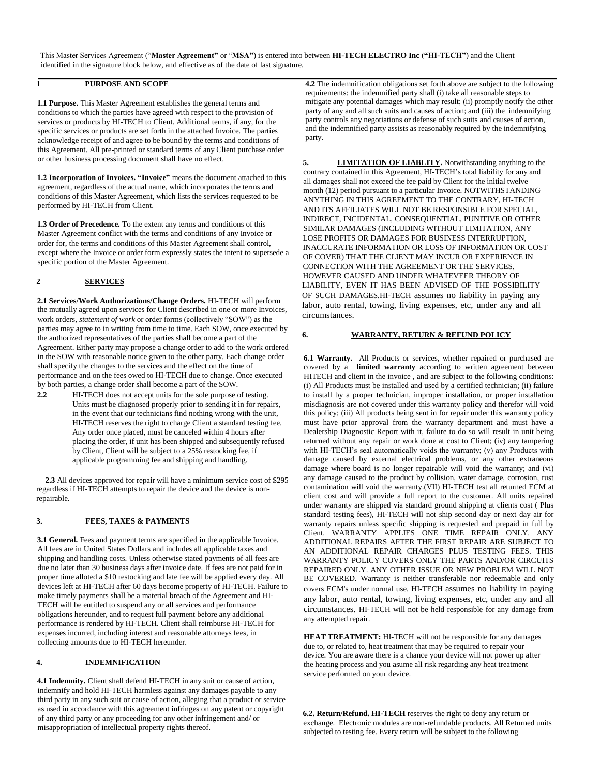This Master Services Agreement ("**Master Agreement"** or "**MSA"**) is entered into between **HI-TECH ELECTRO Inc** (**"HI-TECH"**) and the Client identified in the signature block below, and effective as of the date of last signature.

### **1 PURPOSE AND SCOPE**

**1.1 Purpose.** This Master Agreement establishes the general terms and conditions to which the parties have agreed with respect to the provision of services or products by HI-TECH to Client. Additional terms, if any, for the specific services or products are set forth in the attached Invoice. The parties acknowledge receipt of and agree to be bound by the terms and conditions of this Agreement. All pre-printed or standard terms of any Client purchase order or other business processing document shall have no effect.

**1.2 Incorporation of Invoices. "Invoice"** means the document attached to this agreement, regardless of the actual name, which incorporates the terms and conditions of this Master Agreement, which lists the services requested to be performed by HI-TECH from Client.

**1.3 Order of Precedence.** To the extent any terms and conditions of this Master Agreement conflict with the terms and conditions of any Invoice or order for, the terms and conditions of this Master Agreement shall control, except where the Invoice or order form expressly states the intent to supersede a specific portion of the Master Agreement.

# **2 SERVICES**

**2.1 Services/Work Authorizations/Change Orders.** HI-TECH will perform the mutually agreed upon services for Client described in one or more Invoices, work orders, *statement of work* or order forms (collectively "SOW") as the parties may agree to in writing from time to time. Each SOW, once executed by the authorized representatives of the parties shall become a part of the Agreement. Either party may propose a change order to add to the work ordered in the SOW with reasonable notice given to the other party. Each change order shall specify the changes to the services and the effect on the time of performance and on the fees owed to HI-TECH due to change. Once executed by both parties, a change order shall become a part of the SOW.

2.2 **HI-TECH** does not accept units for the sole purpose of testing. Units must be diagnosed properly prior to sending it in for repairs, in the event that our technicians find nothing wrong with the unit, HI-TECH reserves the right to charge Client a standard testing fee. Any order once placed, must be canceled within 4 hours after placing the order, if unit has been shipped and subsequently refused by Client, Client will be subject to a 25% restocking fee, if applicable programming fee and shipping and handling.

**2.3** All devices approved for repair will have a minimum service cost of \$295 regardless if HI-TECH attempts to repair the device and the device is nonrepairable.

### **3. FEES, TAXES & PAYMENTS**

**3.1 General.** Fees and payment terms are specified in the applicable Invoice. All fees are in United States Dollars and includes all applicable taxes and shipping and handling costs. Unless otherwise stated payments of all fees are due no later than 30 business days after invoice date. If fees are not paid for in proper time alloted a \$10 restocking and late fee will be applied every day. All devices left at HI-TECH after 60 days become property of HI-TECH. Failure to make timely payments shall be a material breach of the Agreement and HI-TECH will be entitled to suspend any or all services and performance obligations hereunder, and to request full payment before any additional performance is rendered by HI-TECH. Client shall reimburse HI-TECH for expenses incurred, including interest and reasonable attorneys fees, in collecting amounts due to HI-TECH hereunder.

## **4. INDEMNIFICATION**

**4.1 Indemnity.** Client shall defend HI-TECH in any suit or cause of action, indemnify and hold HI-TECH harmless against any damages payable to any third party in any such suit or cause of action, alleging that a product or service as used in accordance with this agreement infringes on any patent or copyright of any third party or any proceeding for any other infringement and/ or misappropriation of intellectual property rights thereof.

**4.2** The indemnification obligations set forth above are subject to the following requirements: the indemnified party shall (i) take all reasonable steps to mitigate any potential damages which may result; (ii) promptly notify the other party of any and all such suits and causes of action; and (iii) the indemnifying party controls any negotiations or defense of such suits and causes of action, and the indemnified party assists as reasonably required by the indemnifying party.

**5. LIMITATION OF LIABLITY.** Notwithstanding anything to the contrary contained in this Agreement, HI-TECH's total liability for any and all damages shall not exceed the fee paid by Client for the initial twelve month (12) period pursuant to a particular Invoice. NOTWITHSTANDING ANYTHING IN THIS AGREEMENT TO THE CONTRARY, HI-TECH AND ITS AFFILIATES WILL NOT BE RESPONSIBLE FOR SPECIAL, INDIRECT, INCIDENTAL, CONSEQUENTIAL, PUNITIVE OR OTHER SIMILAR DAMAGES (INCLUDING WITHOUT LIMITATION, ANY LOSE PROFITS OR DAMAGES FOR BUSINESS INTERRUPTION, INACCURATE INFORMATION OR LOSS OF INFORMATION OR COST OF COVER) THAT THE CLIENT MAY INCUR OR EXPERIENCE IN CONNECTION WITH THE AGREEMENT OR THE SERVICES, HOWEVER CAUSED AND UNDER WHATEVEER THEORY OF LIABILITY, EVEN IT HAS BEEN ADVISED OF THE POSSIBILITY OF SUCH DAMAGES.HI-TECH assumes no liability in paying any labor, auto rental, towing, living expenses, etc, under any and all circumstances.

### **6. WARRANTY, RETURN & REFUND POLICY**

**6.1 Warranty.** All Products or services, whether repaired or purchased are covered by a **limited warranty** according to written agreement between HITECH and client in the invoice , and are subject to the following conditions: (i) All Products must be installed and used by a certified technician; (ii) failure to install by a proper technician, improper installation, or proper installation misdiagnosis are not covered under this warranty policy and therefor will void this policy; (iii) All products being sent in for repair under this warranty policy must have prior approval from the warranty department and must have a Dealership Diagnostic Report with it, failure to do so will result in unit being returned without any repair or work done at cost to Client; (iv) any tampering with HI-TECH's seal automatically voids the warranty; (v) any Products with damage caused by external electrical problems, or any other extraneous damage where board is no longer repairable will void the warranty; and (vi) any damage caused to the product by collision, water damage, corrosion, rust contamination will void the warranty.(VII) HI-TECH test all returned ECM at client cost and will provide a full report to the customer. All units repaired under warranty are shipped via standard ground shipping at clients cost ( Plus standard testing fees), HI-TECH will not ship second day or next day air for warranty repairs unless specific shipping is requested and prepaid in full by Client. WARRANTY APPLIES ONE TIME REPAIR ONLY. ANY ADDITIONAL REPAIRS AFTER THE FIRST REPAIR ARE SUBJECT TO AN ADDITIONAL REPAIR CHARGES PLUS TESTING FEES. THIS WARRANTY POLICY COVERS ONLY THE PARTS AND/OR CIRCUITS REPAIRED ONLY. ANY OTHER ISSUE OR NEW PROBLEM WILL NOT BE COVERED. Warranty is neither transferable nor redeemable and only covers ECM's under normal use. HI-TECH assumes no liability in paying any labor, auto rental, towing, living expenses, etc, under any and all circumstances. HI-TECH will not be held responsible for any damage from any attempted repair.

**HEAT TREATMENT:** HI-TECH will not be responsible for any damages due to, or related to, heat treatment that may be required to repair your device. You are aware there is a chance your device will not power up after the heating process and you asume all risk regarding any heat treatment service performed on your device.

**6.2. Return/Refund. HI-TECH** reserves the right to deny any return or exchange. Electronic modules are non-refundable products. All Returned units subjected to testing fee. Every return will be subject to the following